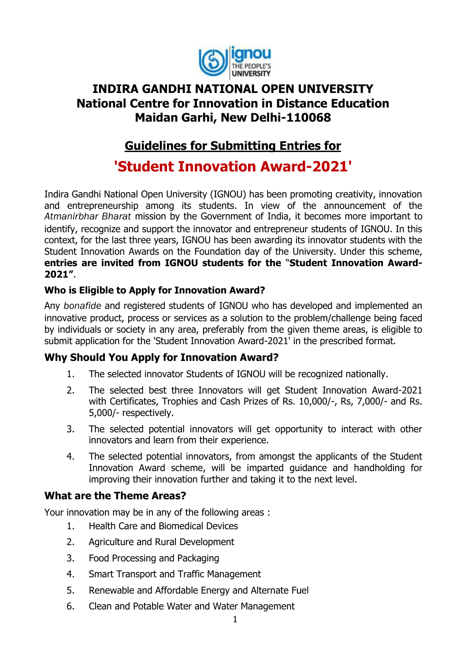

## **INDIRA GANDHI NATIONAL OPEN UNIVERSITY National Centre for Innovation in Distance Education Maidan Garhi, New Delhi-110068**

# **Guidelines for Submitting Entries for**

**'Student Innovation Award-2021'**

Indira Gandhi National Open University (IGNOU) has been promoting creativity, innovation and entrepreneurship among its students. In view of the announcement of the *Atmanirbhar Bharat* mission by the Government of India, it becomes more important to identify, recognize and support the innovator and entrepreneur students of IGNOU. In this context, for the last three years, IGNOU has been awarding its innovator students with the Student Innovation Awards on the Foundation day of the University. Under this scheme, **entries are invited from IGNOU students for the** "**Student Innovation Award-2021"**.

#### **Who is Eligible to Apply for Innovation Award?**

Any *bonafide* and registered students of IGNOU who has developed and implemented an innovative product, process or services as a solution to the problem/challenge being faced by individuals or society in any area, preferably from the given theme areas, is eligible to submit application for the 'Student Innovation Award-2021' in the prescribed format.

#### **Why Should You Apply for Innovation Award?**

- 1. The selected innovator Students of IGNOU will be recognized nationally.
- 2. The selected best three Innovators will get Student Innovation Award-2021 with Certificates, Trophies and Cash Prizes of Rs. 10,000/-, Rs, 7,000/- and Rs. 5,000/- respectively.
- 3. The selected potential innovators will get opportunity to interact with other innovators and learn from their experience.
- 4. The selected potential innovators, from amongst the applicants of the Student Innovation Award scheme, will be imparted guidance and handholding for improving their innovation further and taking it to the next level.

#### **What are the Theme Areas?**

Your innovation may be in any of the following areas :

- 1. Health Care and Biomedical Devices
- 2. Agriculture and Rural Development
- 3. Food Processing and Packaging
- 4. Smart Transport and Traffic Management
- 5. Renewable and Affordable Energy and Alternate Fuel
- 6. Clean and Potable Water and Water Management